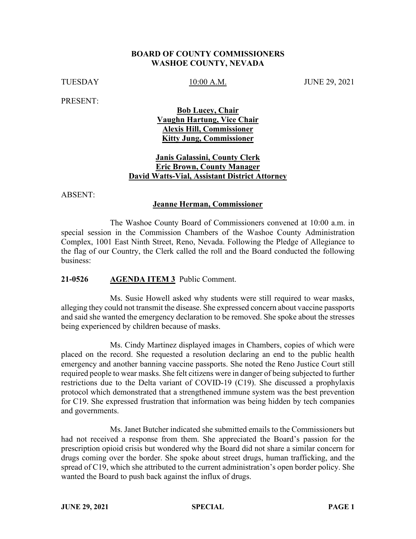### **BOARD OF COUNTY COMMISSIONERS WASHOE COUNTY, NEVADA**

TUESDAY 10:00 A.M. JUNE 29, 2021

PRESENT:

**Bob Lucey, Chair Vaughn Hartung, Vice Chair Alexis Hill, Commissioner Kitty Jung, Commissioner**

## **Janis Galassini, County Clerk Eric Brown, County Manager David Watts-Vial, Assistant District Attorney**

ABSENT:

#### **Jeanne Herman, Commissioner**

The Washoe County Board of Commissioners convened at 10:00 a.m. in special session in the Commission Chambers of the Washoe County Administration Complex, 1001 East Ninth Street, Reno, Nevada. Following the Pledge of Allegiance to the flag of our Country, the Clerk called the roll and the Board conducted the following business:

#### **21-0526 AGENDA ITEM 3** Public Comment.

Ms. Susie Howell asked why students were still required to wear masks, alleging they could not transmit the disease. She expressed concern about vaccine passports and said she wanted the emergency declaration to be removed. She spoke about the stresses being experienced by children because of masks.

Ms. Cindy Martinez displayed images in Chambers, copies of which were placed on the record. She requested a resolution declaring an end to the public health emergency and another banning vaccine passports. She noted the Reno Justice Court still required people to wear masks. She felt citizens were in danger of being subjected to further restrictions due to the Delta variant of COVID-19 (C19). She discussed a prophylaxis protocol which demonstrated that a strengthened immune system was the best prevention for C19. She expressed frustration that information was being hidden by tech companies and governments.

Ms. Janet Butcher indicated she submitted emails to the Commissioners but had not received a response from them. She appreciated the Board's passion for the prescription opioid crisis but wondered why the Board did not share a similar concern for drugs coming over the border. She spoke about street drugs, human trafficking, and the spread of C19, which she attributed to the current administration's open border policy. She wanted the Board to push back against the influx of drugs.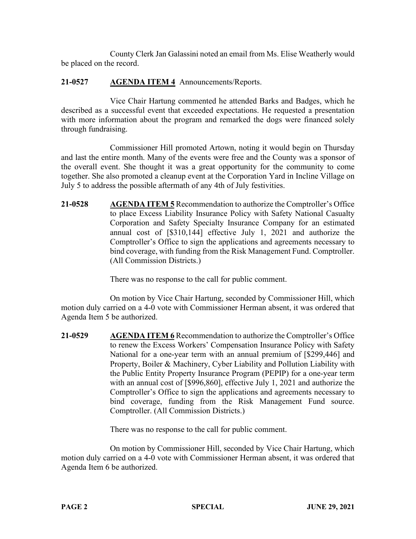County Clerk Jan Galassini noted an email from Ms. Elise Weatherly would be placed on the record.

# **21-0527 AGENDA ITEM 4** Announcements/Reports.

Vice Chair Hartung commented he attended Barks and Badges, which he described as a successful event that exceeded expectations. He requested a presentation with more information about the program and remarked the dogs were financed solely through fundraising.

Commissioner Hill promoted Artown, noting it would begin on Thursday and last the entire month. Many of the events were free and the County was a sponsor of the overall event. She thought it was a great opportunity for the community to come together. She also promoted a cleanup event at the Corporation Yard in Incline Village on July 5 to address the possible aftermath of any 4th of July festivities.

**21-0528 AGENDA ITEM 5** Recommendation to authorize the Comptroller's Office to place Excess Liability Insurance Policy with Safety National Casualty Corporation and Safety Specialty Insurance Company for an estimated annual cost of [\$310,144] effective July 1, 2021 and authorize the Comptroller's Office to sign the applications and agreements necessary to bind coverage, with funding from the Risk Management Fund. Comptroller. (All Commission Districts.)

There was no response to the call for public comment.

On motion by Vice Chair Hartung, seconded by Commissioner Hill, which motion duly carried on a 4-0 vote with Commissioner Herman absent, it was ordered that Agenda Item 5 be authorized.

**21-0529 AGENDA ITEM 6** Recommendation to authorize the Comptroller's Office to renew the Excess Workers' Compensation Insurance Policy with Safety National for a one-year term with an annual premium of [\$299,446] and Property, Boiler & Machinery, Cyber Liability and Pollution Liability with the Public Entity Property Insurance Program (PEPIP) for a one-year term with an annual cost of [\$996,860], effective July 1, 2021 and authorize the Comptroller's Office to sign the applications and agreements necessary to bind coverage, funding from the Risk Management Fund source. Comptroller. (All Commission Districts.)

There was no response to the call for public comment.

On motion by Commissioner Hill, seconded by Vice Chair Hartung, which motion duly carried on a 4-0 vote with Commissioner Herman absent, it was ordered that Agenda Item 6 be authorized.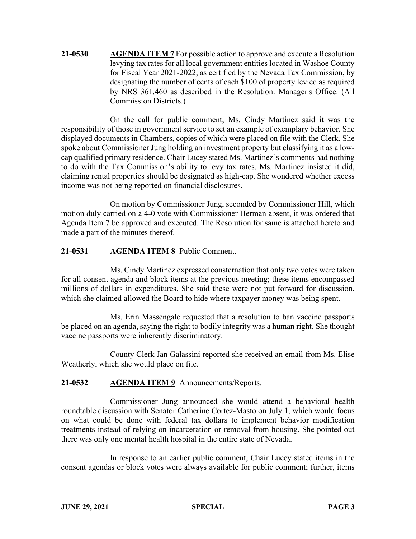**21-0530 AGENDA ITEM 7** For possible action to approve and execute a Resolution levying tax rates for all local government entities located in Washoe County for Fiscal Year 2021-2022, as certified by the Nevada Tax Commission, by designating the number of cents of each \$100 of property levied as required by NRS 361.460 as described in the Resolution. Manager's Office. (All Commission Districts.)

On the call for public comment, Ms. Cindy Martinez said it was the responsibility of those in government service to set an example of exemplary behavior. She displayed documents in Chambers, copies of which were placed on file with the Clerk. She spoke about Commissioner Jung holding an investment property but classifying it as a lowcap qualified primary residence. Chair Lucey stated Ms. Martinez's comments had nothing to do with the Tax Commission's ability to levy tax rates. Ms. Martinez insisted it did, claiming rental properties should be designated as high-cap. She wondered whether excess income was not being reported on financial disclosures.

On motion by Commissioner Jung, seconded by Commissioner Hill, which motion duly carried on a 4-0 vote with Commissioner Herman absent, it was ordered that Agenda Item 7 be approved and executed. The Resolution for same is attached hereto and made a part of the minutes thereof.

# **21-0531 AGENDA ITEM 8** Public Comment.

Ms. Cindy Martinez expressed consternation that only two votes were taken for all consent agenda and block items at the previous meeting; these items encompassed millions of dollars in expenditures. She said these were not put forward for discussion, which she claimed allowed the Board to hide where taxpayer money was being spent.

Ms. Erin Massengale requested that a resolution to ban vaccine passports be placed on an agenda, saying the right to bodily integrity was a human right. She thought vaccine passports were inherently discriminatory.

County Clerk Jan Galassini reported she received an email from Ms. Elise Weatherly, which she would place on file.

# **21-0532 AGENDA ITEM 9** Announcements/Reports.

Commissioner Jung announced she would attend a behavioral health roundtable discussion with Senator Catherine Cortez-Masto on July 1, which would focus on what could be done with federal tax dollars to implement behavior modification treatments instead of relying on incarceration or removal from housing. She pointed out there was only one mental health hospital in the entire state of Nevada.

In response to an earlier public comment, Chair Lucey stated items in the consent agendas or block votes were always available for public comment; further, items